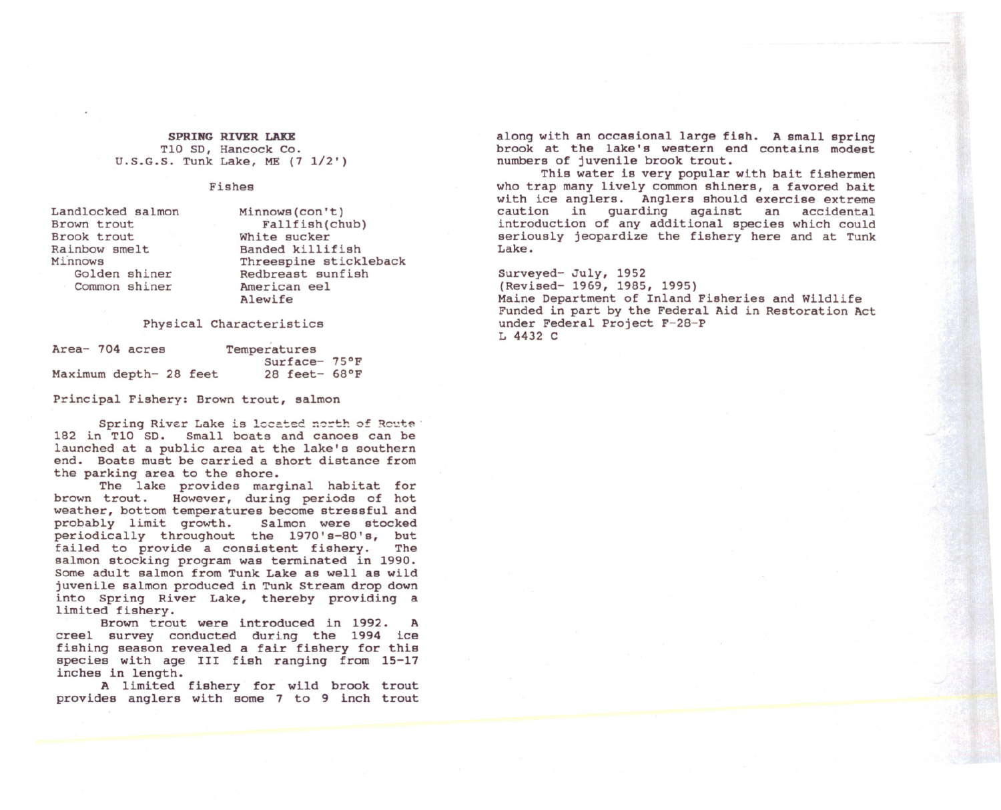SPRING RIVER LAKE TI0 SD, Hancock Co. U.S.G.S. Tunk Lake, ME (7 1/2')

## Fishes

Landlocked salmon Brown trout Brook trout Rainbow smelt Minnows Golden shiner Common shiner

Minnows(con't) Fallfish(chub) White sucker Banded killifish Threespine stickleback Redbreast sunfish American eel Alewife

## Physical Characteristics

| Area- 704 acres        |  |  | Temperatures            |  |  |
|------------------------|--|--|-------------------------|--|--|
|                        |  |  | $Surface-75°F$          |  |  |
| Maximum depth- 28 feet |  |  | 28 feet- $68^{\circ}$ F |  |  |

Principal Fishery: Brown trout, salmon

Spring River Lake is located north of Rowte IB2 in TI0 SD. Small boats and canoes can be launched at a public area at the lake's southern end. Boats must be carried a short distance from the parking area to the shore.

The lake provides marginal habitat for<br>brown trout. However, during periods of hot However, during periods of hot weather, bottom temperatures become stressful and<br>probably limit growth. Salmon were stocked probably limit growth. periodically throughout the 1970's-BO's, but failed to provide a consistent fishery. The salmon stocking program was terminated in 1990. Some adult salmon from Tunk Lake as well as wild juvenile salmon produced in Tunk Stream drop down into Spring River Lake, thereby providing a limited fishery.

Brown trout were introduced in 1992. A creel survey conducted during the 1994 ice fishing season revealed a fair fishery for this species with age III fish ranging from 15-17 inches in length.

A limited fishery for wild brook trout provides anglers with some 7 to 9 inch trout along with an occasional large fish. A small spring brook at the lake's western end contains modest numbers of juvenile brook trout.

This water is very popular with bait fishermen who trap many lively common shiners, a favored bait with ice anglers. Anglers should exercise extreme caution in guarding against an accidental introduction of any additional species which could seriously jeopardize the fishery here and at Tunk Lake.

Surveyed- July, 1952 (Revised- 1969, 1985, 1995) Maine Department of Inland Fisheries and Wildlife Funded in part by the Federal Aid in Restoration Act under Federal Project F-28-P L 4432 C